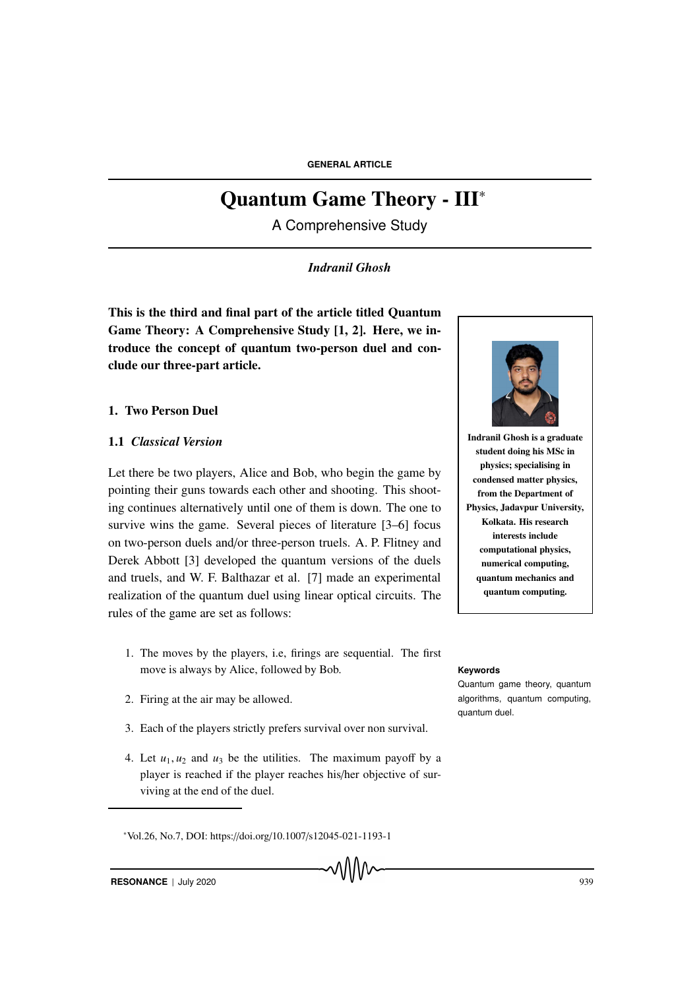# Quantum Game Theory - III<sup>∗</sup>

A Comprehensive Study

# *Indranil Ghosh*

This is the third and final part of the article titled Quantum Game Theory: A Comprehensive Study [1, 2]. Here, we introduce the concept of quantum two-person duel and conclude our three-part article.

# 1. Two Person Duel

# 1.1 *Classical Version*

Let there be two players, Alice and Bob, who begin the game by pointing their guns towards each other and shooting. This shooting continues alternatively until one of them is down. The one to survive wins the game. Several pieces of literature [3–6] focus on two-person duels and/or three-person truels. A. P. Flitney and Derek Abbott [3] developed the quantum versions of the duels and truels, and W. F. Balthazar et al. [7] made an experimental realization of the quantum duel using linear optical circuits. The rules of the game are set as follows:

- 1. The moves by the players, i.e, firings are sequential. The first move is always by Alice, followed by Bob. **Keywords**
- 2. Firing at the air may be allowed.
- 3. Each of the players strictly prefers survival over non survival.
- 4. Let  $u_1, u_2$  and  $u_3$  be the utilities. The maximum payoff by a player is reached if the player reaches his/her objective of surviving at the end of the duel.

<sup>∗</sup>Vol.26, No.7, DOI: https://doi.org/10.1007/s12045-021-1193-1



Indranil Ghosh is a graduate student doing his MSc in physics; specialising in condensed matter physics, from the Department of Physics, Jadavpur University, Kolkata. His research interests include computational physics, numerical computing, quantum mechanics and quantum computing.

Quantum game theory, quantum algorithms, quantum computing, quantum duel.

**RESONANCE** | July 2020 939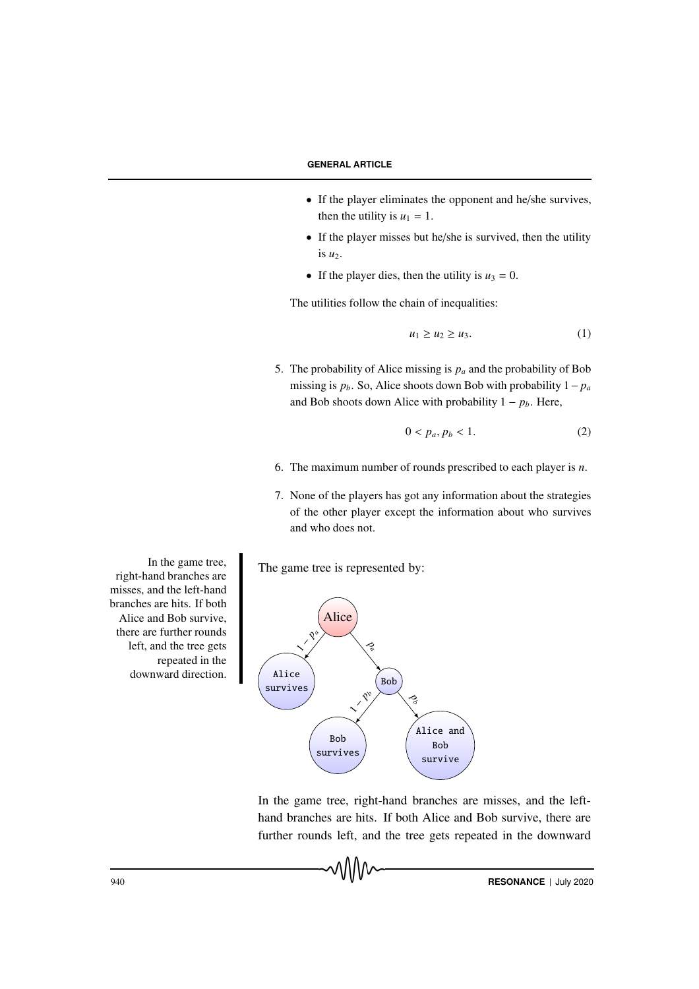- If the player eliminates the opponent and he/she survives, then the utility is  $u_1 = 1$ .
- If the player misses but he/she is survived, then the utility is  $u_2$ .
- If the player dies, then the utility is  $u_3 = 0$ .

The utilities follow the chain of inequalities:

$$
u_1 \ge u_2 \ge u_3. \tag{1}
$$

5. The probability of Alice missing is *p<sup>a</sup>* and the probability of Bob missing is  $p_b$ . So, Alice shoots down Bob with probability  $1-p_a$ and Bob shoots down Alice with probability  $1 - p_b$ . Here,

$$
0 < p_a, p_b < 1. \tag{2}
$$

- 6. The maximum number of rounds prescribed to each player is *n*.
- 7. None of the players has got any information about the strategies of the other player except the information about who survives and who does not.

The game tree is represented by:



vWW

In the game tree, right-hand branches are misses, and the lefthand branches are hits. If both Alice and Bob survive, there are further rounds left, and the tree gets repeated in the downward

In the game tree, right-hand branches are misses, and the left-hand branches are hits. If both Alice and Bob survive, there are further rounds left, and the tree gets repeated in the downward direction.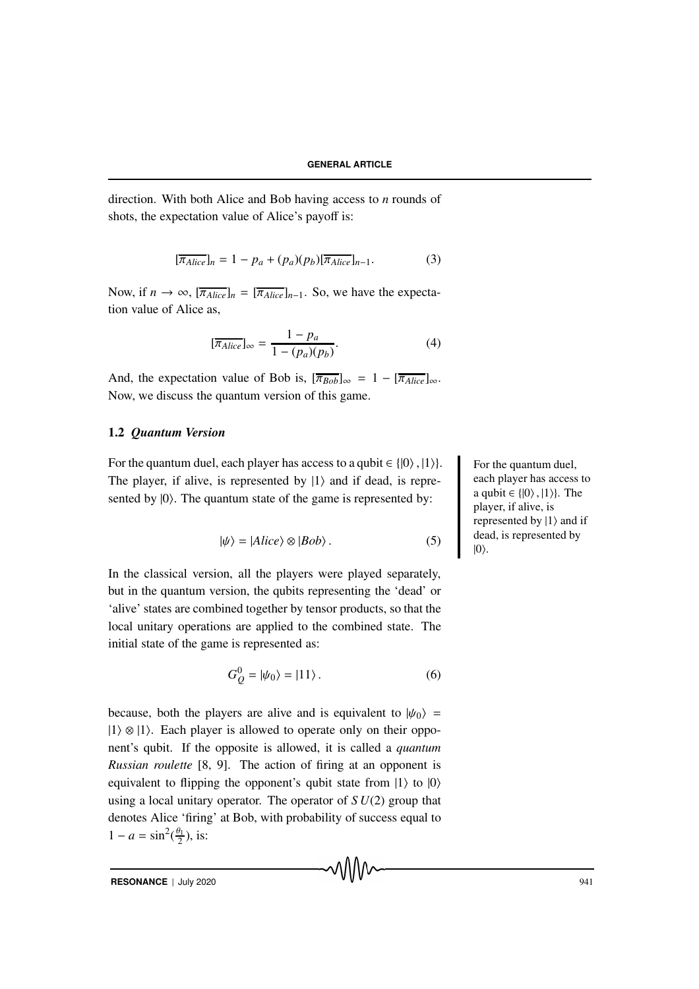direction. With both Alice and Bob having access to *n* rounds of shots, the expectation value of Alice's payoff is:

$$
[\overline{\pi_{Alice}}]_n = 1 - p_a + (p_a)(p_b)[\overline{\pi_{Alice}}]_{n-1}.
$$
 (3)

Now, if  $n \to \infty$ ,  $[\overline{\pi_{Alice}}]_n = [\overline{\pi_{Alice}}]_{n-1}$ . So, we have the expectation value of Alice as,

$$
[\overline{\pi_{Alice}}]_{\infty} = \frac{1 - p_a}{1 - (p_a)(p_b)}.
$$
 (4)

And, the expectation value of Bob is,  $[\overline{\pi_{Bob}}]_{\infty} = 1 - [\overline{\pi_{Alice}}]_{\infty}$ . Now, we discuss the quantum version of this game.

# 1.2 *Quantum Version*

For the quantum duel, each player has access to a qubit  $\in \{ |0\rangle, |1\rangle\}$ . For the quantum duel, The player, if alive, is represented by  $|1\rangle$  and if dead, is represented by  $|0\rangle$ . The quantum state of the game is represented by:

$$
|\psi\rangle = |Alice\rangle \otimes |Bob\rangle. \tag{5}
$$

In the classical version, all the players were played separately, but in the quantum version, the qubits representing the 'dead' or 'alive' states are combined together by tensor products, so that the local unitary operations are applied to the combined state. The initial state of the game is represented as:

$$
G_Q^0 = |\psi_0\rangle = |11\rangle. \tag{6}
$$

ุ∧∆∧∧

because, both the players are alive and is equivalent to  $|\psi_0\rangle$  =  $|1\rangle \otimes |1\rangle$ . Each player is allowed to operate only on their opponent's qubit. If the opposite is allowed, it is called a *quantum Russian roulette* [8, 9]. The action of firing at an opponent is equivalent to flipping the opponent's qubit state from  $|1\rangle$  to  $|0\rangle$ using a local unitary operator. The operator of *S U*(2) group that denotes Alice 'firing' at Bob, with probability of success equal to  $1 - a = \sin^2(\frac{\theta_1}{2})$  $\frac{\pi}{2}$ ), is:

each player has access to a qubit  $\in \{ |0\rangle, |1\rangle \}.$  The player, if alive, is represented by  $|1\rangle$  and if dead, is represented by  $|0\rangle$ .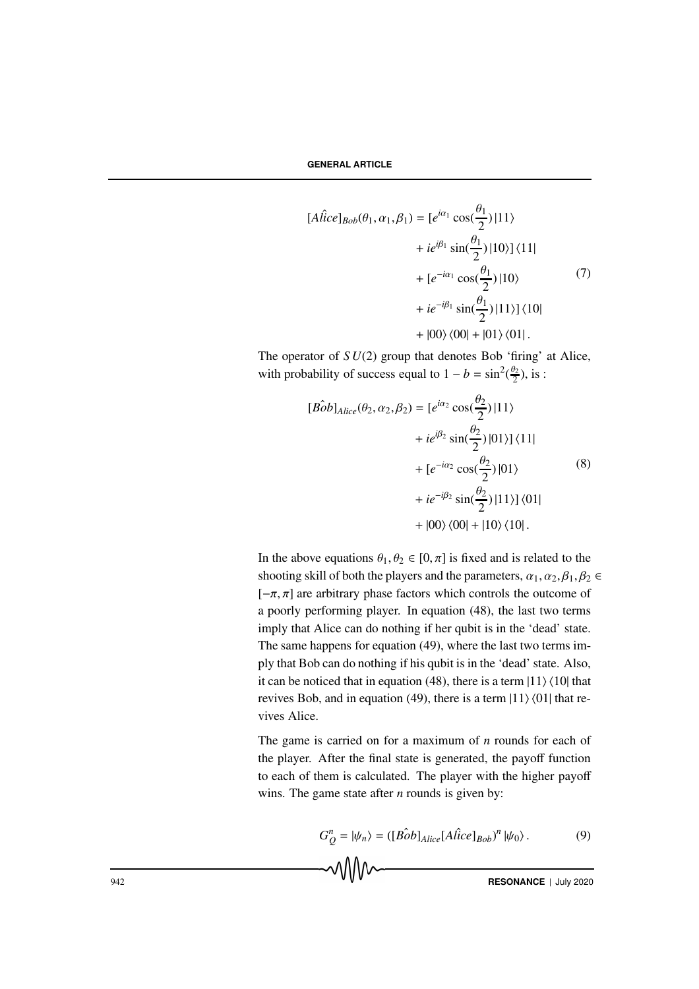$$
[A\hat{lice}]_{Bob}(\theta_1, \alpha_1, \beta_1) = [e^{i\alpha_1} \cos(\frac{\theta_1}{2}) | 11 \rangle + ie^{i\beta_1} \sin(\frac{\theta_1}{2}) | 10 \rangle ] \langle 11| + [e^{-i\alpha_1} \cos(\frac{\theta_1}{2}) | 10 \rangle
$$
 (7)  
+ ie^{-i\beta\_1} \sin(\frac{\theta\_1}{2}) | 11 \rangle ] \langle 10|   
+ |00 \rangle \langle 00| + |01 \rangle \langle 01|.

The operator of  $SU(2)$  group that denotes Bob 'firing' at Alice, with probability of success equal to  $1 - b = \sin^2(\frac{\theta_2}{2})$ , is :

$$
[\hat{Bob}]_{Alice}(\theta_2, \alpha_2, \beta_2) = [e^{i\alpha_2} \cos(\frac{\theta_2}{2}) | 11 \rangle + ie^{i\beta_2} \sin(\frac{\theta_2}{2}) | 01 \rangle ] \langle 11| + [e^{-i\alpha_2} \cos(\frac{\theta_2}{2}) | 01 \rangle
$$
 (8)  
+ ie^{-i\beta\_2} \sin(\frac{\theta\_2}{2}) | 11 \rangle ] \langle 01|   
+ |00 \rangle \langle 00| + |10 \rangle \langle 10|.

In the above equations  $\theta_1, \theta_2 \in [0, \pi]$  is fixed and is related to the shooting skill of both the players and the parameters,  $\alpha_1, \alpha_2, \beta_1, \beta_2 \in$  $[-\pi, \pi]$  are arbitrary phase factors which controls the outcome of a poorly performing player. In equation (48), the last two terms imply that Alice can do nothing if her qubit is in the 'dead' state. The same happens for equation (49), where the last two terms imply that Bob can do nothing if his qubit is in the 'dead' state. Also, it can be noticed that in equation (48), there is a term  $|11\rangle \langle 10|$  that revives Bob, and in equation (49), there is a term  $|11\rangle\langle01|$  that revives Alice.

The game is carried on for a maximum of *n* rounds for each of the player. After the final state is generated, the payoff function to each of them is calculated. The player with the higher payoff wins. The game state after *n* rounds is given by:

$$
G_Q^n = |\psi_n\rangle = ([B\hat{o}b]_{Alice}[A\hat{lice}]_{Bob})^n |\psi_0\rangle.
$$
 (9)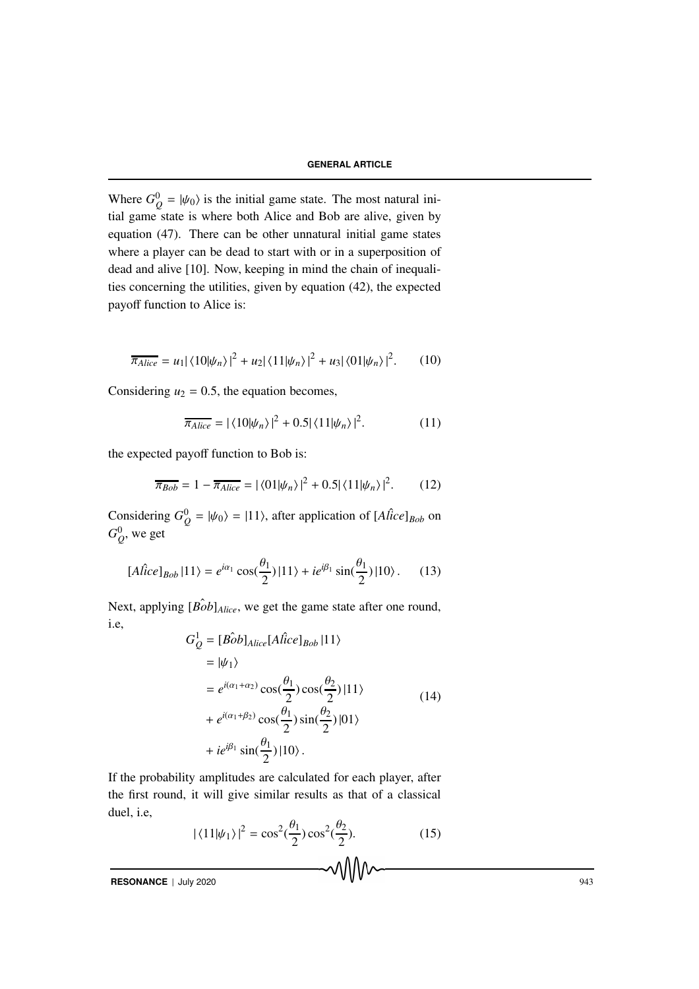Where  $G_Q^0 = |\psi_0\rangle$  is the initial game state. The most natural initial game state is where both Alice and Bob are alive, given by equation (47). There can be other unnatural initial game states where a player can be dead to start with or in a superposition of dead and alive [10]. Now, keeping in mind the chain of inequalities concerning the utilities, given by equation (42), the expected payoff function to Alice is:

$$
\overline{\pi_{Alice}} = u_1 |\langle 10|\psi_n \rangle|^2 + u_2 |\langle 11|\psi_n \rangle|^2 + u_3 |\langle 01|\psi_n \rangle|^2. \tag{10}
$$

Considering  $u_2 = 0.5$ , the equation becomes,

$$
\overline{\pi_{Alice}} = |\langle 10|\psi_n\rangle|^2 + 0.5|\langle 11|\psi_n\rangle|^2. \tag{11}
$$

the expected payoff function to Bob is:

$$
\overline{\pi_{Bob}} = 1 - \overline{\pi_{Alice}} = |\langle 01 | \psi_n \rangle|^2 + 0.5 |\langle 11 | \psi_n \rangle|^2. \tag{12}
$$

Considering  $G_Q^0 = |\psi_0\rangle = |11\rangle$ , after application of  $[A \hat{l} \hat{l} \hat{c} e]_{Bob}$  on  $G_Q^0$ , we get

$$
[A\hat{lice}]_{Bob} |11\rangle = e^{i\alpha_1} \cos(\frac{\theta_1}{2}) |11\rangle + i e^{i\beta_1} \sin(\frac{\theta_1}{2}) |10\rangle. \tag{13}
$$

Next, applying  $[\hat{Bob}]_{Alice}$ , we get the game state after one round, i.e,

$$
G_Q^1 = [B\hat{o}b]_{Alice}[A\hat{lice}]_{Bob} |11\rangle
$$
  
\n
$$
= |\psi_1\rangle
$$
  
\n
$$
= e^{i(\alpha_1 + \alpha_2)} \cos(\frac{\theta_1}{2}) \cos(\frac{\theta_2}{2}) |11\rangle
$$
  
\n
$$
+ e^{i(\alpha_1 + \beta_2)} \cos(\frac{\theta_1}{2}) \sin(\frac{\theta_2}{2}) |01\rangle
$$
  
\n
$$
+ ie^{i\beta_1} \sin(\frac{\theta_1}{2}) |10\rangle.
$$
 (14)

If the probability amplitudes are calculated for each player, after the first round, it will give similar results as that of a classical duel, i.e,

$$
|\langle 11|\psi_1\rangle|^2 = \cos^2(\frac{\theta_1}{2})\cos^2(\frac{\theta_2}{2}).\tag{15}
$$

**RESONANCE** | July 2020 943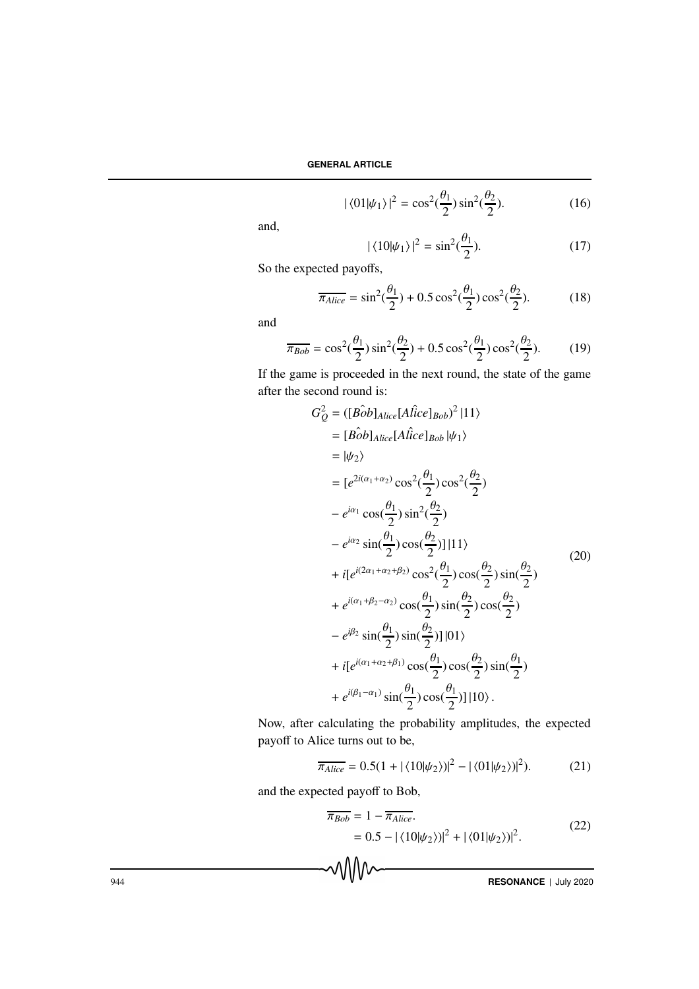$$
|\langle 01|\psi_1\rangle|^2 = \cos^2(\frac{\theta_1}{2})\sin^2(\frac{\theta_2}{2}).\tag{16}
$$

and,

$$
|\langle 10|\psi_1\rangle|^2 = \sin^2(\frac{\theta_1}{2}).\tag{17}
$$

So the expected payoffs,

$$
\overline{\pi_{Alice}} = \sin^2(\frac{\theta_1}{2}) + 0.5\cos^2(\frac{\theta_1}{2})\cos^2(\frac{\theta_2}{2}).
$$
 (18)

and

$$
\overline{\pi_{Bob}} = \cos^2(\frac{\theta_1}{2})\sin^2(\frac{\theta_2}{2}) + 0.5\cos^2(\frac{\theta_1}{2})\cos^2(\frac{\theta_2}{2}).
$$
 (19)

If the game is proceeded in the next round, the state of the game after the second round is:

$$
G_Q^2 = (\lfloor \hat{Bob} \rfloor_{Alice} [A \hat{l}ice \rfloor_{Bob})^2 |11\rangle
$$
  
\n
$$
= [\hat{Bob} \rfloor_{Alice} [A \hat{l}ice \rfloor_{Bob} | \psi_1 \rangle
$$
  
\n
$$
= |\psi_2 \rangle
$$
  
\n
$$
= [e^{2i(\alpha_1 + \alpha_2)} \cos^2(\frac{\theta_1}{2}) \cos^2(\frac{\theta_2}{2})
$$
  
\n
$$
- e^{i\alpha_1} \cos(\frac{\theta_1}{2}) \sin^2(\frac{\theta_2}{2})
$$
  
\n
$$
- e^{i\alpha_2} \sin(\frac{\theta_1}{2}) \cos(\frac{\theta_2}{2}) |11\rangle
$$
  
\n
$$
+ i[e^{i(2\alpha_1 + \alpha_2 + \beta_2)} \cos^2(\frac{\theta_1}{2}) \cos(\frac{\theta_2}{2}) \sin(\frac{\theta_2}{2})
$$
  
\n
$$
+ e^{i(\alpha_1 + \beta_2 - \alpha_2)} \cos(\frac{\theta_1}{2}) \sin(\frac{\theta_2}{2}) \cos(\frac{\theta_2}{2})
$$
  
\n
$$
- e^{i\beta_2} \sin(\frac{\theta_1}{2}) \sin(\frac{\theta_2}{2}) |01\rangle
$$
  
\n
$$
+ i[e^{i(\alpha_1 + \alpha_2 + \beta_1)} \cos(\frac{\theta_1}{2}) \cos(\frac{\theta_2}{2}) \sin(\frac{\theta_1}{2})
$$
  
\n
$$
+ e^{i(\beta_1 - \alpha_1)} \sin(\frac{\theta_1}{2}) \cos(\frac{\theta_1}{2}) |10\rangle.
$$

Now, after calculating the probability amplitudes, the expected payoff to Alice turns out to be,

$$
\overline{\pi_{Alice}} = 0.5(1 + |\langle 10|\psi_2 \rangle|^2 - |\langle 01|\psi_2 \rangle|^2). \tag{21}
$$

and the expected payoff to Bob,

$$
\overline{\pi_{Bob}} = 1 - \overline{\pi_{Alice}}.
$$
  
= 0.5 - |\langle 10 | \psi\_2 \rangle|^2 + |\langle 01 | \psi\_2 \rangle|^2. (22)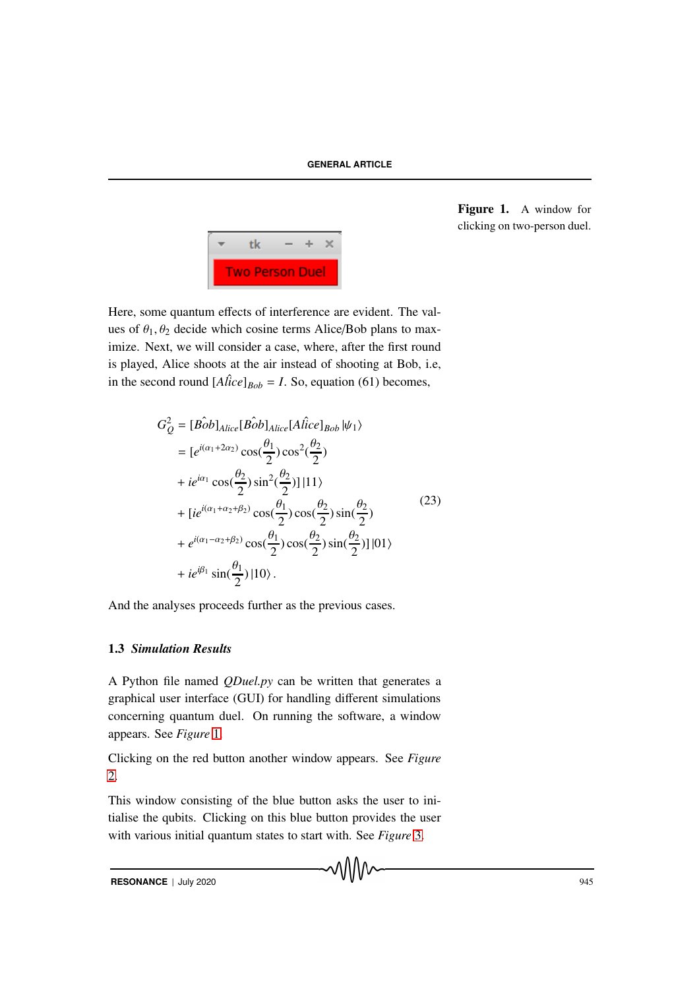

<span id="page-6-0"></span>Figure 1. A window for clicking on two-person duel.

Here, some quantum effects of interference are evident. The values of  $\theta_1$ ,  $\theta_2$  decide which cosine terms Alice/Bob plans to maximize. Next, we will consider a case, where, after the first round is played, Alice shoots at the air instead of shooting at Bob, i.e, in the second round  $[A \hat{lice}]_{Bob} = I$ . So, equation (61) becomes,

$$
G_Q^2 = [B\hat{o}b]_{Alice} [B\hat{o}b]_{Alice} [A\hat{lice}]_{Bob} |\psi_1\rangle
$$
  
\n
$$
= [e^{i(\alpha_1 + 2\alpha_2)} \cos(\frac{\theta_1}{2}) \cos^2(\frac{\theta_2}{2})
$$
  
\n
$$
+ ie^{i\alpha_1} \cos(\frac{\theta_2}{2}) \sin^2(\frac{\theta_2}{2})] |11\rangle
$$
  
\n
$$
+ [ie^{i(\alpha_1 + \alpha_2 + \beta_2)} \cos(\frac{\theta_1}{2}) \cos(\frac{\theta_2}{2}) \sin(\frac{\theta_2}{2})
$$
  
\n
$$
+ e^{i(\alpha_1 - \alpha_2 + \beta_2)} \cos(\frac{\theta_1}{2}) \cos(\frac{\theta_2}{2}) \sin(\frac{\theta_2}{2})] |01\rangle
$$
  
\n
$$
+ ie^{i\beta_1} \sin(\frac{\theta_1}{2}) |10\rangle.
$$
 (23)

And the analyses proceeds further as the previous cases.

# 1.3 *Simulation Results*

A Python file named *QDuel.py* can be written that generates a graphical user interface (GUI) for handling different simulations concerning quantum duel. On running the software, a window appears. See *Figure* [1.](#page-6-0)

Clicking on the red button another window appears. See *Figure* [2.](#page-7-0)

This window consisting of the blue button asks the user to initialise the qubits. Clicking on this blue button provides the user with various initial quantum states to start with. See *Figure* [3.](#page-7-1)

**RESONANCE** | July 2020 945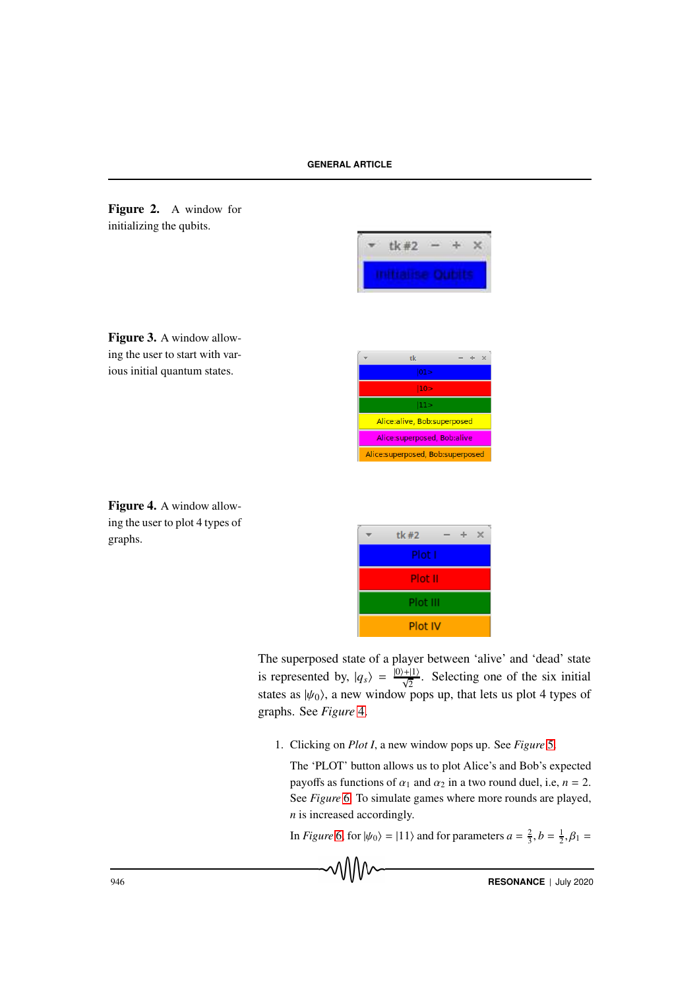<span id="page-7-0"></span>



<span id="page-7-1"></span>



<span id="page-7-2"></span>

|        | tk#2     |  |  |  |
|--------|----------|--|--|--|
| Plot I |          |  |  |  |
|        | Plot II  |  |  |  |
|        | Plot III |  |  |  |
|        | Plot IV  |  |  |  |

The superposed state of a player between 'alive' and 'dead' state is represented by,  $|q_s\rangle = \frac{|0\rangle + |1\rangle}{\sqrt{2}}$ . Selecting one of the six initial states as  $|\psi_0\rangle$ , a new window pops up, that lets us plot 4 types of graphs. See *Figure* [4.](#page-7-2)

1. Clicking on *Plot I*, a new window pops up. See *Figure* [5.](#page-8-0)

The 'PLOT' button allows us to plot Alice's and Bob's expected payoffs as functions of  $\alpha_1$  and  $\alpha_2$  in a two round duel, i.e,  $n = 2$ . See *Figure* [6.](#page-8-1) To simulate games where more rounds are played, *n* is increased accordingly.

In *Figure* [6,](#page-8-1) for  $|\psi_0\rangle = |11\rangle$  and for parameters  $a = \frac{2}{3}$ ,  $b = \frac{1}{2}$ ,  $\beta_1 =$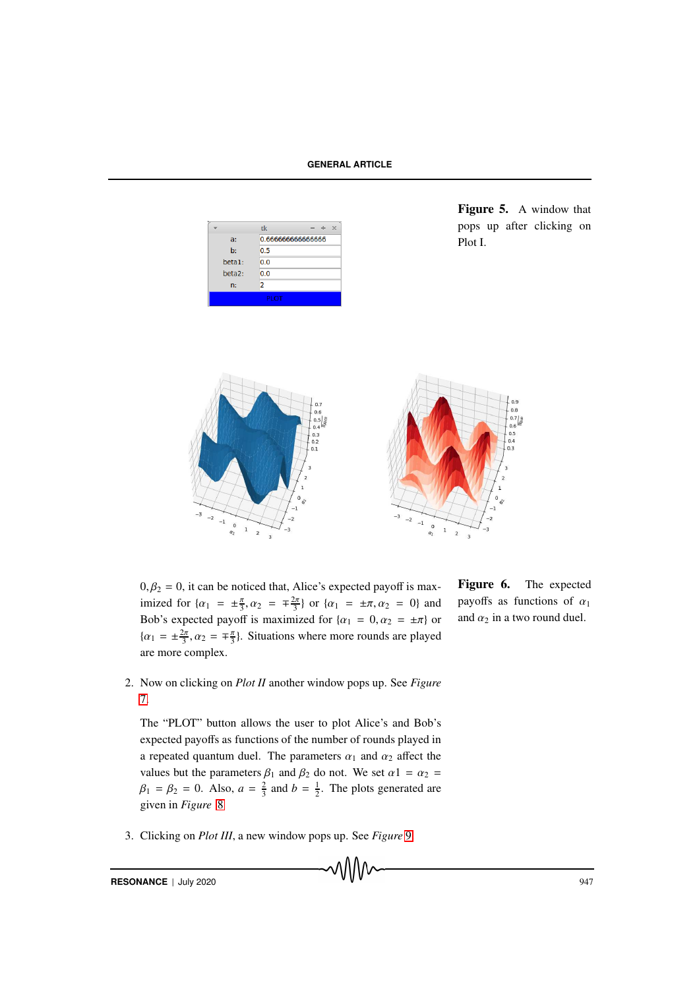|                     | tk               |  |  |  |
|---------------------|------------------|--|--|--|
| a:                  | 0.66666666666666 |  |  |  |
| b:                  | 0.5              |  |  |  |
| beta1:              | 0.0              |  |  |  |
| beta <sub>2</sub> : | 0.0              |  |  |  |
| n:                  | 2                |  |  |  |
| PLOT                |                  |  |  |  |

<span id="page-8-0"></span>Figure 5. A window that pops up after clicking on Plot I.



 $0, \beta_2 = 0$ , it can be noticed that, Alice's expected payoff is maximized for  $\{\alpha_1 = \pm \frac{\pi}{3}, \alpha_2 = \pm \frac{2\pi}{3}\}\$  or  $\{\alpha_1 = \pm \pi, \alpha_2 = 0\}$  and Bob's expected payoff is maximized for  $\{\alpha_1 = 0, \alpha_2 = \pm \pi\}$  or  $\{\alpha_1 = \pm \frac{2\pi}{3}, \alpha_2 = \mp \frac{\pi}{3}\}.$  Situations where more rounds are played are more complex.

- <span id="page-8-1"></span>Figure 6. The expected payoffs as functions of  $\alpha_1$ and  $\alpha_2$  in a two round duel.
- 2. Now on clicking on *Plot II* another window pops up. See *Figure* [7.](#page-9-0)

The "PLOT" button allows the user to plot Alice's and Bob's expected payoffs as functions of the number of rounds played in a repeated quantum duel. The parameters  $\alpha_1$  and  $\alpha_2$  affect the values but the parameters  $\beta_1$  and  $\beta_2$  do not. We set  $\alpha_1 = \alpha_2 =$  $\beta_1 = \beta_2 = 0$ . Also,  $a = \frac{2}{3}$  and  $b = \frac{1}{2}$ . The plots generated are given in *Figure* [8](#page-9-1)

3. Clicking on *Plot III*, a new window pops up. See *Figure* [9.](#page-9-2)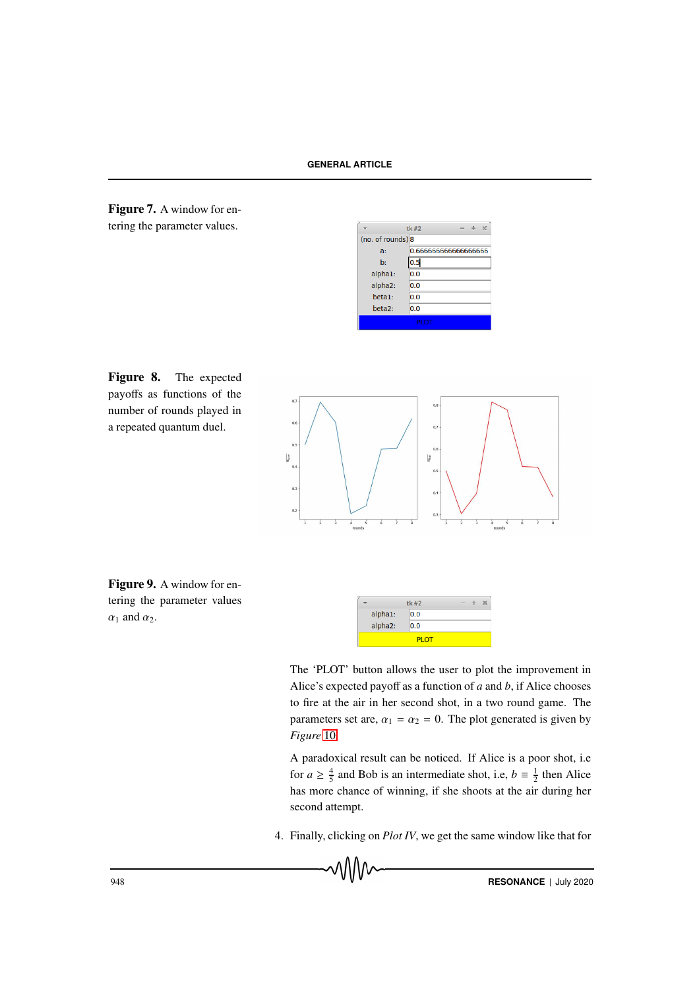<span id="page-9-0"></span>

|                     | tk#2<br>У           |  |  |  |
|---------------------|---------------------|--|--|--|
| (no. of rounds) 8   |                     |  |  |  |
| a:                  | 0.66666666666666666 |  |  |  |
| $\mathbf{b}$        | 0.5                 |  |  |  |
| alpha1:             | 0.0                 |  |  |  |
| alpha2:             | 0.0                 |  |  |  |
| beta1:              | 0.0                 |  |  |  |
| beta <sub>2</sub> : | 0.0                 |  |  |  |
| PLOT                |                     |  |  |  |

<span id="page-9-1"></span>



<span id="page-9-2"></span>Figure 9. A window for entering the parameter values  $\alpha_1$  and  $\alpha_2$ .



The 'PLOT' button allows the user to plot the improvement in Alice's expected payoff as a function of *a* and *b*, if Alice chooses to fire at the air in her second shot, in a two round game. The parameters set are,  $\alpha_1 = \alpha_2 = 0$ . The plot generated is given by *Figure* [10](#page-10-0)

A paradoxical result can be noticed. If Alice is a poor shot, i.e for  $a \ge \frac{4}{5}$  and Bob is an intermediate shot, i.e,  $b \equiv \frac{1}{2}$  then Alice has more chance of winning, if she shoots at the air during her second attempt.

4. Finally, clicking on *Plot IV*, we get the same window like that for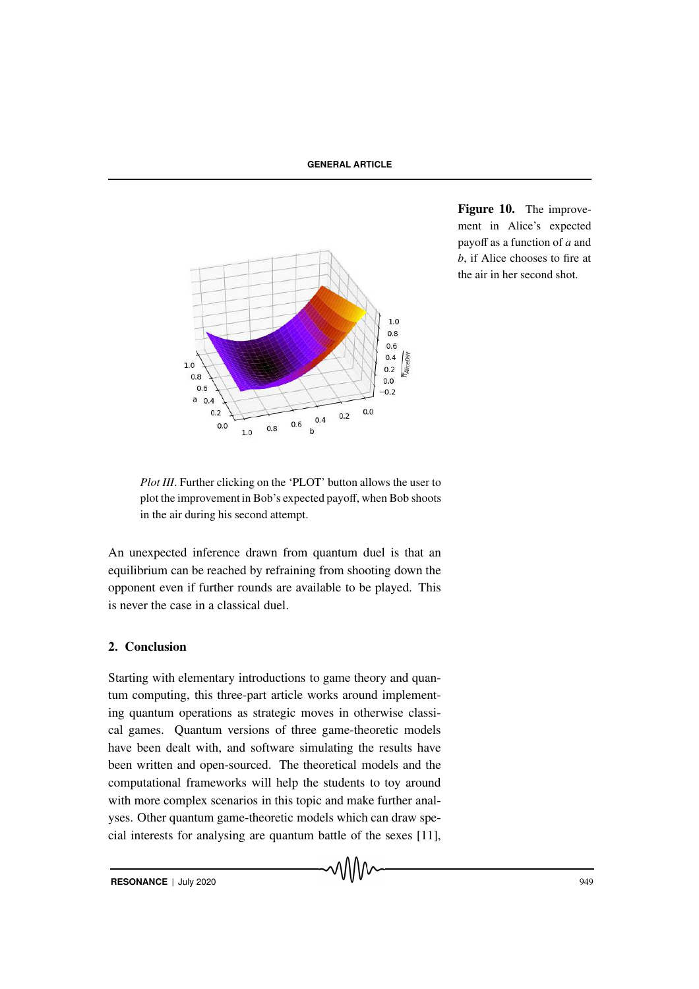

<span id="page-10-0"></span>Figure 10. The improvement in Alice's expected payoff as a function of *a* and *b*, if Alice chooses to fire at the air in her second shot.

*Plot III*. Further clicking on the 'PLOT' button allows the user to plot the improvement in Bob's expected payoff, when Bob shoots in the air during his second attempt.

An unexpected inference drawn from quantum duel is that an equilibrium can be reached by refraining from shooting down the opponent even if further rounds are available to be played. This is never the case in a classical duel.

# 2. Conclusion

Starting with elementary introductions to game theory and quantum computing, this three-part article works around implementing quantum operations as strategic moves in otherwise classical games. Quantum versions of three game-theoretic models have been dealt with, and software simulating the results have been written and open-sourced. The theoretical models and the computational frameworks will help the students to toy around with more complex scenarios in this topic and make further analyses. Other quantum game-theoretic models which can draw special interests for analysing are quantum battle of the sexes [11],

᠕᠕᠕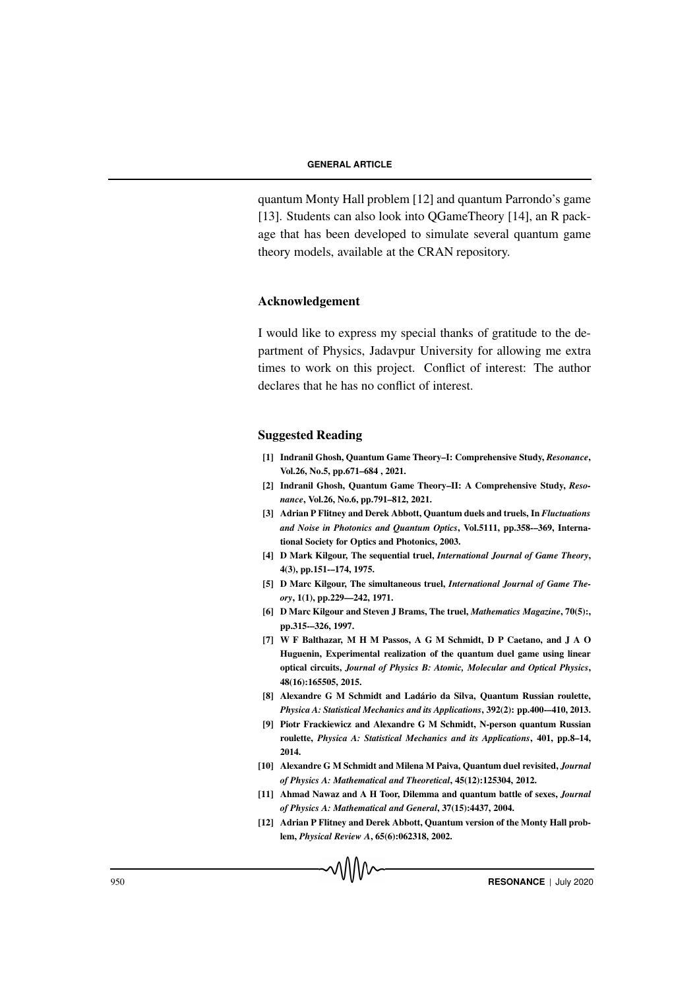quantum Monty Hall problem [12] and quantum Parrondo's game [13]. Students can also look into OGameTheory [14], an R package that has been developed to simulate several quantum game theory models, available at the CRAN repository.

# Acknowledgement

I would like to express my special thanks of gratitude to the department of Physics, Jadavpur University for allowing me extra times to work on this project. Conflict of interest: The author declares that he has no conflict of interest.

# Suggested Reading

- [1] Indranil Ghosh, Quantum Game Theory–I: Comprehensive Study, *Resonance*, Vol.26, No.5, pp.671–684 , 2021.
- [2] Indranil Ghosh, Quantum Game Theory–II: A Comprehensive Study, *Resonance*, Vol.26, No.6, pp.791–812, 2021.
- [3] Adrian P Flitney and Derek Abbott, Quantum duels and truels, In *Fluctuations and Noise in Photonics and Quantum Optics*, Vol.5111, pp.358-–369, International Society for Optics and Photonics, 2003.
- [4] D Mark Kilgour, The sequential truel, *International Journal of Game Theory*, 4(3), pp.151-–174, 1975.
- [5] D Marc Kilgour, The simultaneous truel, *International Journal of Game Theory*, 1(1), pp.229—242, 1971.
- [6] D Marc Kilgour and Steven J Brams, The truel, *Mathematics Magazine*, 70(5):, pp.315-–326, 1997.
- [7] W F Balthazar, M H M Passos, A G M Schmidt, D P Caetano, and J A O Huguenin, Experimental realization of the quantum duel game using linear optical circuits, *Journal of Physics B: Atomic, Molecular and Optical Physics*, 48(16):165505, 2015.
- [8] Alexandre G M Schmidt and Ladário da Silva, Quantum Russian roulette, *Physica A: Statistical Mechanics and its Applications*, 392(2): pp.400-–410, 2013.
- [9] Piotr Frackiewicz and Alexandre G M Schmidt, N-person quantum Russian roulette, *Physica A: Statistical Mechanics and its Applications*, 401, pp.8–14, 2014.
- [10] Alexandre G M Schmidt and Milena M Paiva, Quantum duel revisited, *Journal of Physics A: Mathematical and Theoretical*, 45(12):125304, 2012.
- [11] Ahmad Nawaz and A H Toor, Dilemma and quantum battle of sexes, *Journal of Physics A: Mathematical and General*, 37(15):4437, 2004.
- [12] Adrian P Flitney and Derek Abbott, Quantum version of the Monty Hall problem, *Physical Review A*, 65(6):062318, 2002.